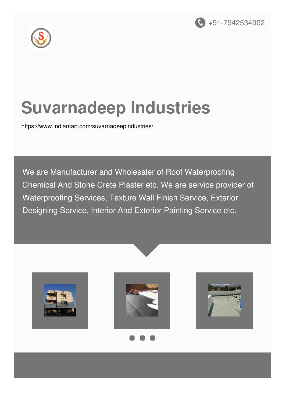



# **Suvarnadeep Industries**

<https://www.indiamart.com/suvarnadeepindustries/>

We are Manufacturer and Wholesaler of Roof Waterproofing Chemical And Stone Crete Plaster etc. We are service provider of Waterproofing Services, Texture Wall Finish Service, Exterior Designing Service, Interior And Exterior Painting Service etc.







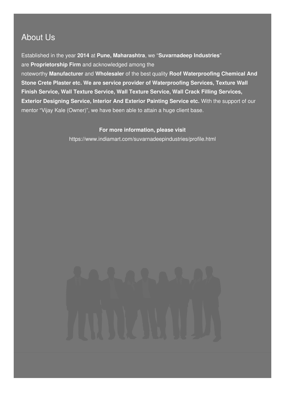### About Us

Established in the year **2014** at **Pune, Maharashtra**, we "**Suvarnadeep Industries**" are **Proprietorship Firm** and acknowledged among the

noteworthy **Manufacturer** and **Wholesaler** of the best quality **Roof Waterproofing Chemical And Stone Crete Plaster etc. We are service provider of Waterproofing Services, Texture Wall Finish Service, Wall Texture Service, Wall Texture Service, Wall Crack Filling Services, Exterior Designing Service, Interior And Exterior Painting Service etc.** With the support of our mentor "Vijay Kale (Owner)", we have been able to attain a huge client base.

#### **For more information, please visit**

<https://www.indiamart.com/suvarnadeepindustries/profile.html>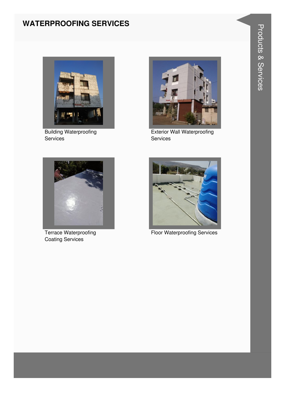#### **WATERPROOFING SERVICES**



**Building Waterproofing** Services



**Exterior Wall Waterproofing** Services



**Terrace Waterproofing Coating Services** 



**Floor Waterproofing Services**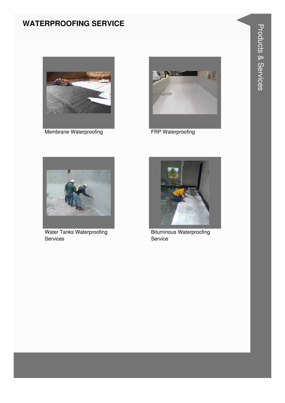#### **WATERPROOFING SERVICE**



Membrane Waterproofing



**FRP Waterproofing** 



**Water Tanks Waterproofing** Services



**Bituminous Waterproofing** Service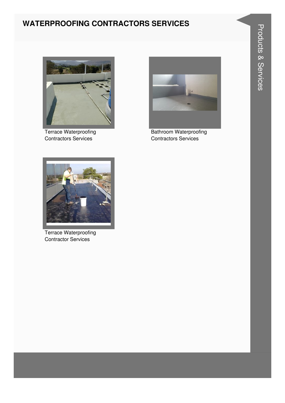#### **WATERPROOFING CONTRACTORS SERVICES**



**Terrace Waterproofing Contractors Services** 



**Bathroom Waterproofing Contractors Services** 



**Terrace Waterproofing Contractor Services**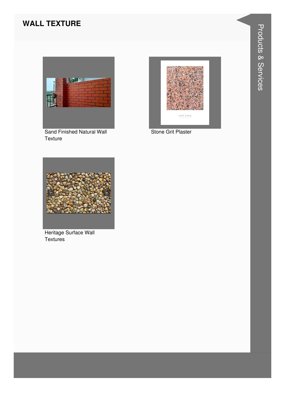#### **WALL TEXTURE**



Sand Finished Natural Wall Texture



Stone Grit Plaster



Heritage Surface Wall Textures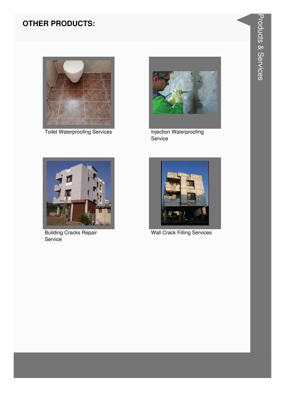#### **OTHER PRODUCTS:**



**Toilet Waterproofing Services** 



Injection Waterproofing Service



**Building Cracks Repair** Service



**Wall Crack Filling Services**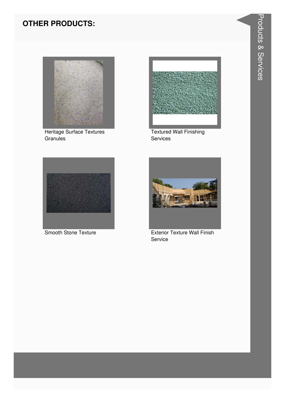#### **OTHER PRODUCTS:**



Heritage Surface Textures Granules



**Textured Wall Finishing** Services



Smooth Stone Texture



**Exterior Texture Wall Finish** Service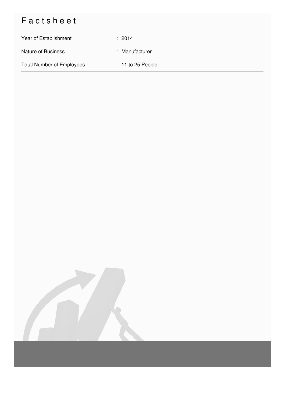## Factsheet

| Year of Establishment            | $\div$ 2014         |
|----------------------------------|---------------------|
| <b>Nature of Business</b>        | : Manufacturer      |
| <b>Total Number of Employees</b> | $: 11$ to 25 People |